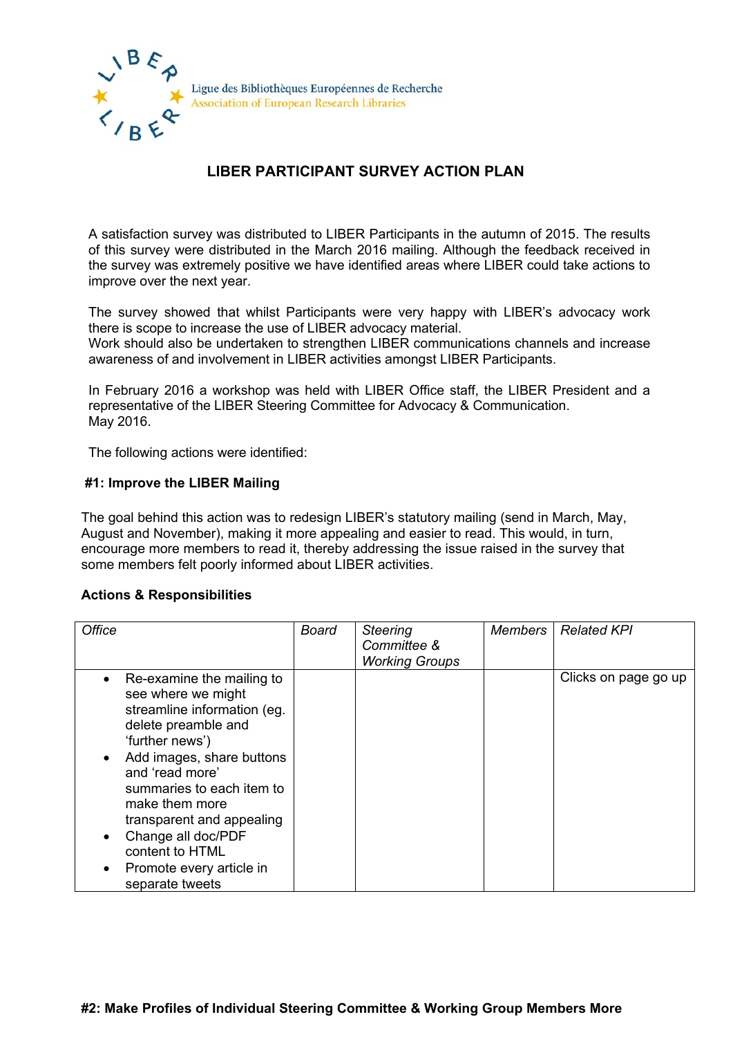

# **LIBER PARTICIPANT SURVEY ACTION PLAN**

A satisfaction survey was distributed to LIBER Participants in the autumn of 2015. The results of this survey were distributed in the March 2016 mailing. Although the feedback received in the survey was extremely positive we have identified areas where LIBER could take actions to improve over the next year.

The survey showed that whilst Participants were very happy with LIBER's advocacy work there is scope to increase the use of LIBER advocacy material.

Work should also be undertaken to strengthen LIBER communications channels and increase awareness of and involvement in LIBER activities amongst LIBER Participants.

In February 2016 a workshop was held with LIBER Office staff, the LIBER President and a representative of the LIBER Steering Committee for Advocacy & Communication. May 2016.

The following actions were identified:

#### **#1: Improve the LIBER Mailing**

The goal behind this action was to redesign LIBER's statutory mailing (send in March, May, August and November), making it more appealing and easier to read. This would, in turn, encourage more members to read it, thereby addressing the issue raised in the survey that some members felt poorly informed about LIBER activities.

## **Actions & Responsibilities**

| <b>Office</b>                                                                                                                                                                                                                                                                                                                                | <b>Board</b> | <b>Steering</b><br>Committee &<br><b>Working Groups</b> | <b>Members</b> | <b>Related KPI</b>   |
|----------------------------------------------------------------------------------------------------------------------------------------------------------------------------------------------------------------------------------------------------------------------------------------------------------------------------------------------|--------------|---------------------------------------------------------|----------------|----------------------|
| Re-examine the mailing to<br>see where we might<br>streamline information (eg.<br>delete preamble and<br>'further news')<br>Add images, share buttons<br>and 'read more'<br>summaries to each item to<br>make them more<br>transparent and appealing<br>Change all doc/PDF<br>content to HTML<br>Promote every article in<br>separate tweets |              |                                                         |                | Clicks on page go up |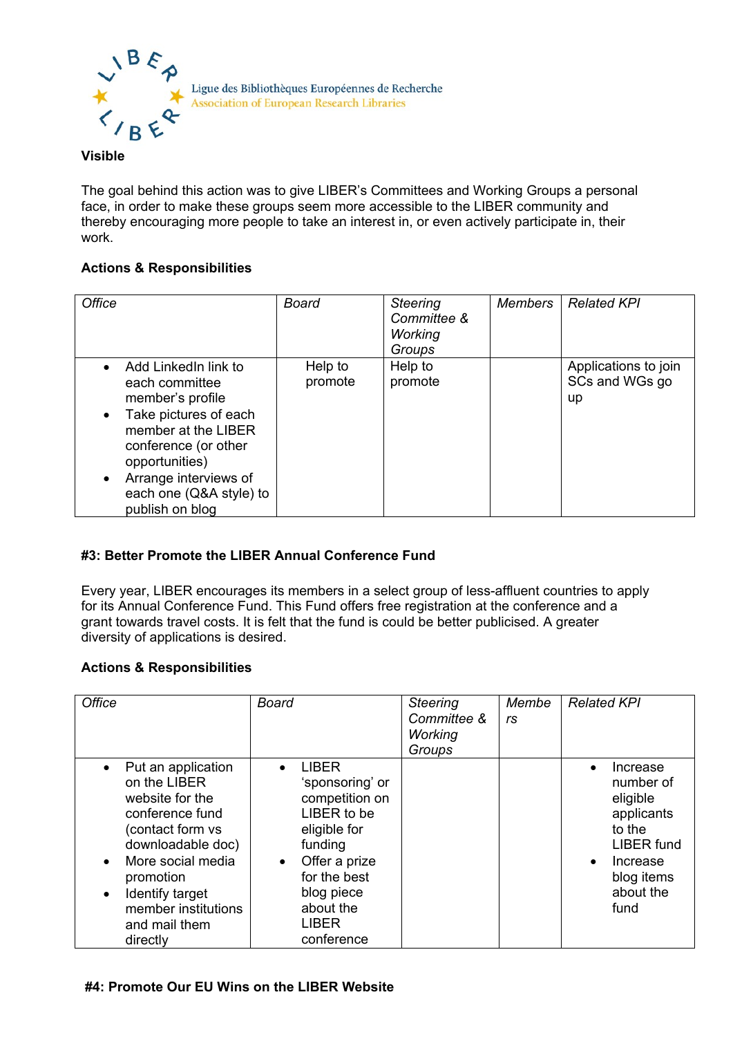

### **Visible**

The goal behind this action was to give LIBER's Committees and Working Groups a personal face, in order to make these groups seem more accessible to the LIBER community and thereby encouraging more people to take an interest in, or even actively participate in, their work.

## **Actions & Responsibilities**

| <b>Office</b>                                                                                                                                                                                                               | Board              | <b>Steering</b><br>Committee &<br><b>Working</b><br>Groups | <b>Members</b> | <b>Related KPI</b>                           |
|-----------------------------------------------------------------------------------------------------------------------------------------------------------------------------------------------------------------------------|--------------------|------------------------------------------------------------|----------------|----------------------------------------------|
| Add LinkedIn link to<br>each committee<br>member's profile<br>Take pictures of each<br>member at the LIBER<br>conference (or other<br>opportunities)<br>Arrange interviews of<br>each one (Q&A style) to<br>publish on blog | Help to<br>promote | Help to<br>promote                                         |                | Applications to join<br>SCs and WGs go<br>up |

# **#3: Better Promote the LIBER Annual Conference Fund**

Every year, LIBER encourages its members in a select group of less-affluent countries to apply for its Annual Conference Fund. This Fund offers free registration at the conference and a grant towards travel costs. It is felt that the fund is could be better publicised. A greater diversity of applications is desired.

## **Actions & Responsibilities**

| <b>Office</b>                                                                                                                                                                                                                                        | Board                                                                                                                                                                                              | <b>Steering</b><br>Committee &<br><b>Working</b><br>Groups | Membe<br>rs | <b>Related KPI</b>                                                                                                                                      |
|------------------------------------------------------------------------------------------------------------------------------------------------------------------------------------------------------------------------------------------------------|----------------------------------------------------------------------------------------------------------------------------------------------------------------------------------------------------|------------------------------------------------------------|-------------|---------------------------------------------------------------------------------------------------------------------------------------------------------|
| Put an application<br>on the LIBER<br>website for the<br>conference fund<br>(contact form vs<br>downloadable doc)<br>More social media<br>$\bullet$<br>promotion<br>Identify target<br>$\bullet$<br>member institutions<br>and mail them<br>directly | <b>LIBER</b><br>$\bullet$<br>'sponsoring' or<br>competition on<br>LIBER to be<br>eligible for<br>funding<br>Offer a prize<br>for the best<br>blog piece<br>about the<br><b>LIBER</b><br>conference |                                                            |             | Increase<br>$\bullet$<br>number of<br>eligible<br>applicants<br>to the<br><b>LIBER</b> fund<br>Increase<br>$\bullet$<br>blog items<br>about the<br>fund |

## **#4: Promote Our EU Wins on the LIBER Website**